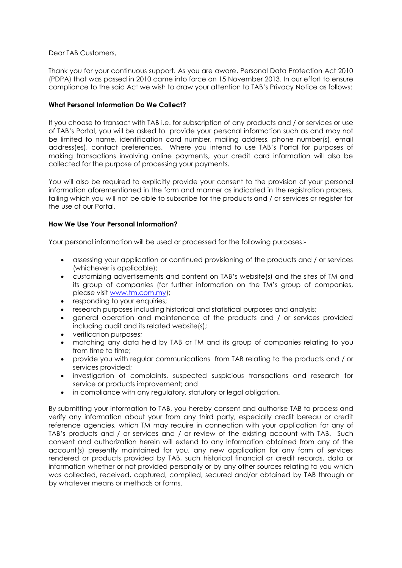### Dear TAB Customers,

Thank you for your continuous support. As you are aware, Personal Data Protection Act 2010 (PDPA) that was passed in 2010 came into force on 15 November 2013. In our effort to ensure compliance to the said Act we wish to draw your attention to TAB's Privacy Notice as follows:

## **What Personal Information Do We Collect?**

If you choose to transact with TAB i.e. for subscription of any products and / or services or use of TAB's Portal, you will be asked to provide your personal information such as and may not be limited to name, identification card number, mailing address, phone number(s), email address(es), contact preferences. Where you intend to use TAB's Portal for purposes of making transactions involving online payments, your credit card information will also be collected for the purpose of processing your payments.

You will also be required to explicitly provide your consent to the provision of your personal information aforementioned in the form and manner as indicated in the registration process, failing which you will not be able to subscribe for the products and / or services or register for the use of our Portal.

# **How We Use Your Personal Information?**

Your personal information will be used or processed for the following purposes:-

- assessing your application or continued provisioning of the products and / or services (whichever is applicable);
- customizing advertisements and content on TAB's website(s) and the sites of TM and its group of companies (for further information on the TM's group of companies, please visit [www.tm.com.my\)](http://www.tm.com.my/);
- responding to your enquiries;
- research purposes including historical and statistical purposes and analysis;
- general operation and maintenance of the products and / or services provided including audit and its related website(s);
- verification purposes;
- matching any data held by TAB or TM and its group of companies relating to you from time to time;
- provide you with regular communications from TAB relating to the products and / or services provided;
- investigation of complaints, suspected suspicious transactions and research for service or products improvement; and
- in compliance with any regulatory, statutory or legal obligation.

By submitting your information to TAB, you hereby consent and authorise TAB to process and verify any information about your from any third party, especially credit bereau or credit reference agencies, which TM may require in connection with your application for any of TAB's products and / or services and / or review of the existing account with TAB. Such consent and authorization herein will extend to any information obtained from any of the account(s) presently maintained for you, any new application for any form of services rendered or products provided by TAB, such historical financial or credit records, data or information whether or not provided personally or by any other sources relating to you which was collected, received, captured, compiled, secured and/or obtained by TAB through or by whatever means or methods or forms.